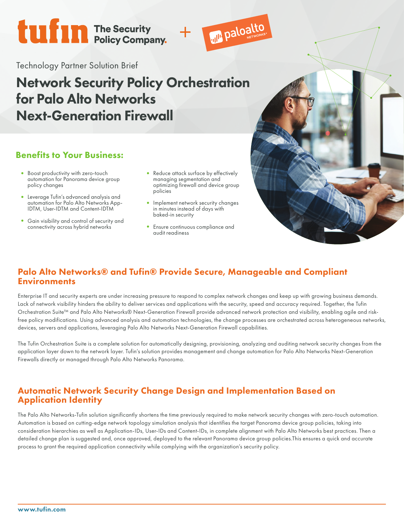# **tufin** The Security<br>Policy Company.



Technology Partner Solution Brief

## Network Security Policy Orchestration for Palo Alto Networks Next-Generation Firewall

## Benefits to Your Business:

- Boost productivity with zero-touch automation for Panorama device group policy changes
- Leverage Tufin's advanced analysis and automation for Palo Alto Networks App-IDTM, User-IDTM and Content-IDTM
- Gain visibility and control of security and connectivity across hybrid networks
- Reduce attack surface by effectively managing segmentation and optimizing firewall and device group policies
- Implement network security changes in minutes instead of days with baked-in security
- Ensure continuous compliance and audit readiness

## Palo Alto Networks® and Tufin® Provide Secure, Manageable and Compliant **Environments**

Enterprise IT and security experts are under increasing pressure to respond to complex network changes and keep up with growing business demands. Lack of network visibility hinders the ability to deliver services and applications with the security, speed and accuracy required. Together, the Tufin Orchestration Suite™ and Palo Alto Networks® Next-Generation Firewall provide advanced network protection and visibility, enabling agile and riskfree policy modifications. Using advanced analysis and automation technologies, the change processes are orchestrated across heterogeneous networks, devices, servers and applications, leveraging Palo Alto Networks Next-Generation Firewall capabilities.

The Tufin Orchestration Suite is a complete solution for automatically designing, provisioning, analyzing and auditing network security changes from the application layer down to the network layer. Tufin's solution provides management and change automation for Palo Alto Networks Next-Generation Firewalls directly or managed through Palo Alto Networks Panorama.

### Automatic Network Security Change Design and Implementation Based on Application Identity

The Palo Alto Networks-Tufin solution significantly shortens the time previously required to make network security changes with zero-touch automation. Automation is based on cutting-edge network topology simulation analysis that identifies the target Panorama device group policies, taking into consideration hierarchies as well as Application-IDs, User-IDs and Content-IDs, in complete alignment with Palo Alto Networks best practices. Then a detailed change plan is suggested and, once approved, deployed to the relevant Panorama device group policies.This ensures a quick and accurate process to grant the required application connectivity while complying with the organization's security policy.